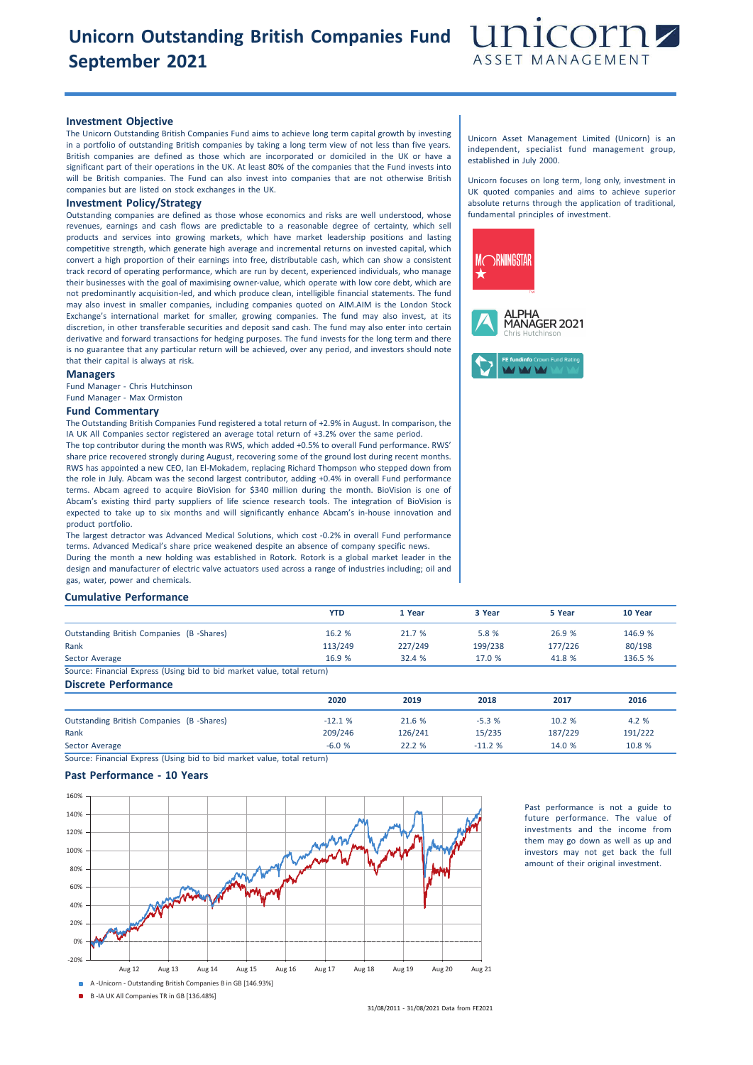# **Unicorn Outstanding British Companies Fund September 2021**



### **Investment Objective**

The Unicorn Outstanding British Companies Fund aims to achieve long term capital growth by investing in a portfolio of outstanding British companies by taking a long term view of not less than five years. British companies are defined as those which are incorporated or domiciled in the UK or have a significant part of their operations in the UK. At least 80% of the companies that the Fund invests into will be British companies. The Fund can also invest into companies that are not otherwise British companies but are listed on stock exchanges in the UK.

## **Investment Policy/Strategy**

Outstanding companies are defined as those whose economics and risks are well understood, whose revenues, earnings and cash flows are predictable to a reasonable degree of certainty, which sell products and services into growing markets, which have market leadership positions and lasting competitive strength, which generate high average and incremental returns on invested capital, which convert a high proportion of their earnings into free, distributable cash, which can show a consistent track record of operating performance, which are run by decent, experienced individuals, who manage their businesses with the goal of maximising owner-value, which operate with low core debt, which are not predominantly acquisition-led, and which produce clean, intelligible financial statements. The fund may also invest in smaller companies, including companies quoted on AIM.AIM is the London Stock Exchange's international market for smaller, growing companies. The fund may also invest, at its discretion, in other transferable securities and deposit sand cash. The fund may also enter into certain derivative and forward transactions for hedging purposes. The fund invests for the long term and there is no guarantee that any particular return will be achieved, over any period, and investors should note that their capital is always at risk.

#### **Managers**

Fund Manager - Chris Hutchinson Fund Manager - Max Ormiston

#### **Fund Commentary**

The Outstanding British Companies Fund registered a total return of +2.9% in August. In comparison, the IA UK All Companies sector registered an average total return of +3.2% over the same period. The top contributor during the month was RWS, which added +0.5% to overall Fund performance. RWS' share price recovered strongly during August, recovering some of the ground lost during recent months. RWS has appointed a new CEO, Ian El-Mokadem, replacing Richard Thompson who stepped down from the role in July. Abcam was the second largest contributor, adding +0.4% in overall Fund performance terms. Abcam agreed to acquire BioVision for \$340 million during the month. BioVision is one of Abcam's existing third party suppliers of life science research tools. The integration of BioVision is expected to take up to six months and will significantly enhance Abcam's in-house innovation and product portfolio.

The largest detractor was Advanced Medical Solutions, which cost -0.2% in overall Fund performance terms. Advanced Medical's share price weakened despite an absence of company specific news. During the month a new holding was established in Rotork. Rotork is a global market leader in the design and manufacturer of electric valve actuators used across a range of industries including; oil and gas, water, power and chemicals.

### **Cumulative Performance**

|                                                                         | YTD     | 1 Year  | 3 Year  | 5 Year  | 10 Year |
|-------------------------------------------------------------------------|---------|---------|---------|---------|---------|
| Outstanding British Companies (B -Shares)                               | 16.2 %  | 21.7 %  | 5.8 %   | 26.9 %  | 146.9 % |
| Rank                                                                    | 113/249 | 227/249 | 199/238 | 177/226 | 80/198  |
| Sector Average                                                          | 16.9 %  | 32.4%   | 17.0 %  | 41.8 %  | 136.5 % |
| Source: Financial Express (Using bid to bid market value, total return) |         |         |         |         |         |
| <b>Discrete Performance</b>                                             |         |         |         |         |         |

|                                          | 2020     | 2019    | 2018     | 2017    | 2016    |
|------------------------------------------|----------|---------|----------|---------|---------|
| Outstanding British Companies (B-Shares) | $-12.1%$ | 21.6 %  | $-5.3%$  | 10.2 %  | 4.2 %   |
| Rank                                     | 209/246  | 126/241 | 15/235   | 187/229 | 191/222 |
| Sector Average                           | $-6.0%$  | 22.2 %  | $-11.2%$ | 14.0 %  | 10.8 %  |

Source: Financial Express (Using bid to bid market value, total return)

#### **Past Performance - 10 Years**



Past performance is not a guide to future performance. The value of investments and the income from them may go down as well as up and investors may not get back the full amount of their original investment.

B -IA UK All Companies TR in GB [136.48%]

31/08/2011 - 31/08/2021 Data from FE2021

Unicorn Asset Management Limited (Unicorn) is an independent, specialist fund management group, established in July 2000.

Unicorn focuses on long term, long only, investment in UK quoted companies and aims to achieve superior absolute returns through the application of traditional, fundamental principles of investment.

![](_page_0_Picture_23.jpeg)